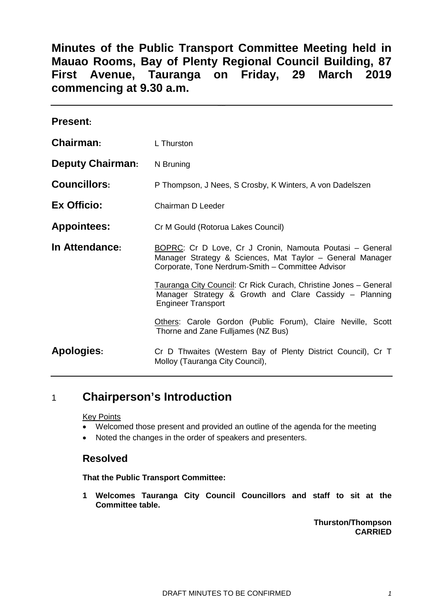**Minutes of the Public Transport Committee Meeting held in Mauao Rooms, Bay of Plenty Regional Council Building, 87 First Avenue, Tauranga on Friday, 29 March 2019 commencing at 9.30 a.m.**

| <b>Present:</b>         |                                                                                                                                                                            |  |
|-------------------------|----------------------------------------------------------------------------------------------------------------------------------------------------------------------------|--|
| Chairman:               | L Thurston                                                                                                                                                                 |  |
| <b>Deputy Chairman:</b> | N Bruning                                                                                                                                                                  |  |
| <b>Councillors:</b>     | P Thompson, J Nees, S Crosby, K Winters, A von Dadelszen                                                                                                                   |  |
| Ex Officio:             | Chairman D Leeder                                                                                                                                                          |  |
| <b>Appointees:</b>      | Cr M Gould (Rotorua Lakes Council)                                                                                                                                         |  |
| In Attendance:          | BOPRC: Cr D Love, Cr J Cronin, Namouta Poutasi - General<br>Manager Strategy & Sciences, Mat Taylor - General Manager<br>Corporate, Tone Nerdrum-Smith - Committee Advisor |  |
|                         | Tauranga City Council: Cr Rick Curach, Christine Jones - General<br>Manager Strategy & Growth and Clare Cassidy - Planning<br><b>Engineer Transport</b>                    |  |
|                         | Others: Carole Gordon (Public Forum), Claire Neville, Scott<br>Thorne and Zane Fulljames (NZ Bus)                                                                          |  |
| <b>Apologies:</b>       | Cr D Thwaites (Western Bay of Plenty District Council), Cr T<br>Molloy (Tauranga City Council),                                                                            |  |

# 1 **Chairperson's Introduction**

Key Points

- Welcomed those present and provided an outline of the agenda for the meeting
- Noted the changes in the order of speakers and presenters.

## **Resolved**

**That the Public Transport Committee:**

**1 Welcomes Tauranga City Council Councillors and staff to sit at the Committee table.**

> **Thurston/Thompson CARRIED**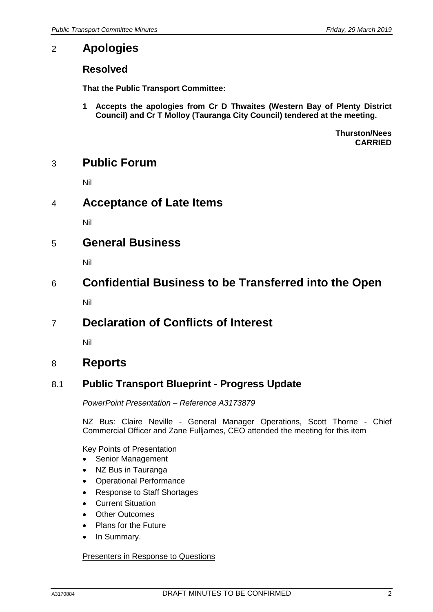# 2 **Apologies**

# **Resolved**

**That the Public Transport Committee:**

**1 Accepts the apologies from Cr D Thwaites (Western Bay of Plenty District Council) and Cr T Molloy (Tauranga City Council) tendered at the meeting.**

> **Thurston/Nees CARRIED**

# 3 **Public Forum**

Nil

# 4 **Acceptance of Late Items**

Nil

# 5 **General Business**

Nil

# 6 **Confidential Business to be Transferred into the Open**

Nil

# 7 **Declaration of Conflicts of Interest**

Nil

# 8 **Reports**

## 8.1 **Public Transport Blueprint - Progress Update**

*PowerPoint Presentation – Reference A3173879*

NZ Bus: Claire Neville - General Manager Operations, Scott Thorne - Chief Commercial Officer and Zane Fulljames, CEO attended the meeting for this item

Key Points of Presentation

- Senior Management
- NZ Bus in Tauranga
- Operational Performance
- Response to Staff Shortages
- **Current Situation**
- **Other Outcomes**
- Plans for the Future
- In Summary.

#### Presenters in Response to Questions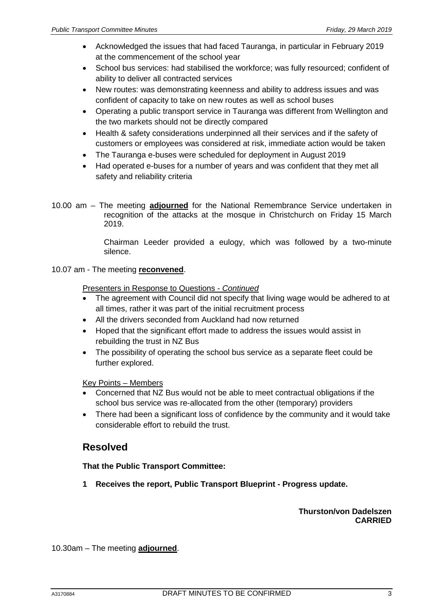- Acknowledged the issues that had faced Tauranga, in particular in February 2019 at the commencement of the school year
- School bus services: had stabilised the workforce; was fully resourced; confident of ability to deliver all contracted services
- New routes: was demonstrating keenness and ability to address issues and was confident of capacity to take on new routes as well as school buses
- Operating a public transport service in Tauranga was different from Wellington and the two markets should not be directly compared
- Health & safety considerations underpinned all their services and if the safety of customers or employees was considered at risk, immediate action would be taken
- The Tauranga e-buses were scheduled for deployment in August 2019
- Had operated e-buses for a number of years and was confident that they met all safety and reliability criteria
- 10.00 am The meeting **adjourned** for the National Remembrance Service undertaken in recognition of the attacks at the mosque in Christchurch on Friday 15 March 2019.

Chairman Leeder provided a eulogy, which was followed by a two-minute silence.

10.07 am - The meeting **reconvened**.

Presenters in Response to Questions - *Continued*

- The agreement with Council did not specify that living wage would be adhered to at all times, rather it was part of the initial recruitment process
- All the drivers seconded from Auckland had now returned
- Hoped that the significant effort made to address the issues would assist in rebuilding the trust in NZ Bus
- The possibility of operating the school bus service as a separate fleet could be further explored.

Key Points – Members

- Concerned that NZ Bus would not be able to meet contractual obligations if the school bus service was re-allocated from the other (temporary) providers
- There had been a significant loss of confidence by the community and it would take considerable effort to rebuild the trust.

## **Resolved**

#### **That the Public Transport Committee:**

**1 Receives the report, Public Transport Blueprint - Progress update.**

**Thurston/von Dadelszen CARRIED**

10.30am – The meeting **adjourned**.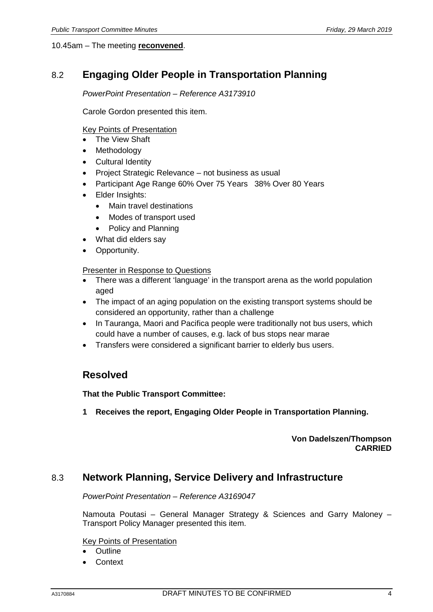#### 10.45am – The meeting **reconvened**.

# 8.2 **Engaging Older People in Transportation Planning**

#### *PowerPoint Presentation – Reference A3173910*

Carole Gordon presented this item.

#### Key Points of Presentation

- The View Shaft
- **Methodology**
- Cultural Identity
- Project Strategic Relevance not business as usual
- Participant Age Range 60% Over 75 Years 38% Over 80 Years
- Elder Insights:
	- Main travel destinations
	- Modes of transport used
	- Policy and Planning
	- What did elders say
- Opportunity.

#### Presenter in Response to Questions

- There was a different 'language' in the transport arena as the world population aged
- The impact of an aging population on the existing transport systems should be considered an opportunity, rather than a challenge
- In Tauranga, Maori and Pacifica people were traditionally not bus users, which could have a number of causes, e.g. lack of bus stops near marae
- Transfers were considered a significant barrier to elderly bus users.

## **Resolved**

**That the Public Transport Committee:**

**1 Receives the report, Engaging Older People in Transportation Planning.**

#### **Von Dadelszen/Thompson CARRIED**

## 8.3 **Network Planning, Service Delivery and Infrastructure**

*PowerPoint Presentation – Reference A3169047*

Namouta Poutasi – General Manager Strategy & Sciences and Garry Maloney – Transport Policy Manager presented this item.

#### Key Points of Presentation

- Outline
- **Context**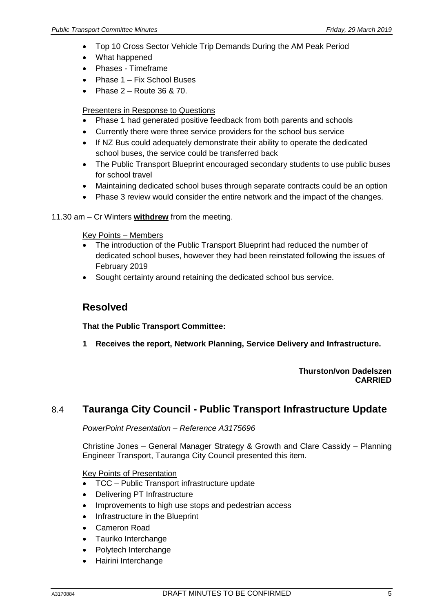- Top 10 Cross Sector Vehicle Trip Demands During the AM Peak Period
- What happened
- Phases Timeframe
- Phase 1 Fix School Buses
- Phase  $2 -$  Route 36 & 70.

#### Presenters in Response to Questions

- Phase 1 had generated positive feedback from both parents and schools
- Currently there were three service providers for the school bus service
- If NZ Bus could adequately demonstrate their ability to operate the dedicated school buses, the service could be transferred back
- The Public Transport Blueprint encouraged secondary students to use public buses for school travel
- Maintaining dedicated school buses through separate contracts could be an option
- Phase 3 review would consider the entire network and the impact of the changes.
- 11.30 am Cr Winters **withdrew** from the meeting.

Key Points – Members

- The introduction of the Public Transport Blueprint had reduced the number of dedicated school buses, however they had been reinstated following the issues of February 2019
- Sought certainty around retaining the dedicated school bus service.

## **Resolved**

**That the Public Transport Committee:**

**1 Receives the report, Network Planning, Service Delivery and Infrastructure.**

#### **Thurston/von Dadelszen CARRIED**

## 8.4 **Tauranga City Council - Public Transport Infrastructure Update**

*PowerPoint Presentation – Reference A3175696*

Christine Jones – General Manager Strategy & Growth and Clare Cassidy – Planning Engineer Transport, Tauranga City Council presented this item.

Key Points of Presentation

- TCC Public Transport infrastructure update
- Delivering PT Infrastructure
- Improvements to high use stops and pedestrian access
- Infrastructure in the Blueprint
- Cameron Road
- Tauriko Interchange
- Polytech Interchange
- Hairini Interchange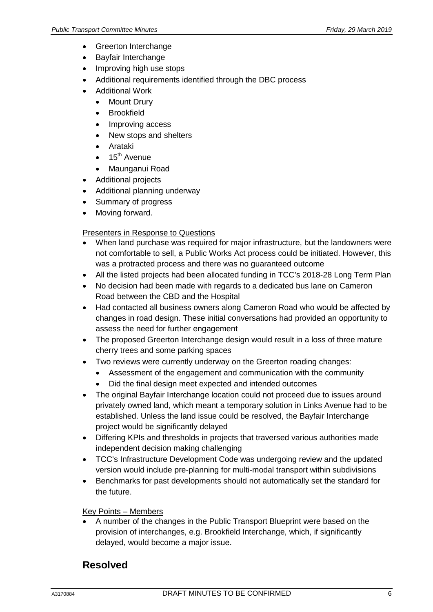- Greerton Interchange
- Bayfair Interchange
- Improving high use stops
- Additional requirements identified through the DBC process
- Additional Work
	- Mount Drury
	- **Brookfield**
	- Improving access
	- New stops and shelters
	- Arataki
	- 15<sup>th</sup> Avenue
	- Maunganui Road
- Additional projects
- Additional planning underway
- Summary of progress
- Moving forward.

#### Presenters in Response to Questions

- When land purchase was required for major infrastructure, but the landowners were not comfortable to sell, a Public Works Act process could be initiated. However, this was a protracted process and there was no guaranteed outcome
- All the listed projects had been allocated funding in TCC's 2018-28 Long Term Plan
- No decision had been made with regards to a dedicated bus lane on Cameron Road between the CBD and the Hospital
- Had contacted all business owners along Cameron Road who would be affected by changes in road design. These initial conversations had provided an opportunity to assess the need for further engagement
- The proposed Greerton Interchange design would result in a loss of three mature cherry trees and some parking spaces
- Two reviews were currently underway on the Greerton roading changes:
	- Assessment of the engagement and communication with the community
	- Did the final design meet expected and intended outcomes
- The original Bayfair Interchange location could not proceed due to issues around privately owned land, which meant a temporary solution in Links Avenue had to be established. Unless the land issue could be resolved, the Bayfair Interchange project would be significantly delayed
- Differing KPIs and thresholds in projects that traversed various authorities made independent decision making challenging
- TCC's Infrastructure Development Code was undergoing review and the updated version would include pre-planning for multi-modal transport within subdivisions
- Benchmarks for past developments should not automatically set the standard for the future.

#### Key Points – Members

• A number of the changes in the Public Transport Blueprint were based on the provision of interchanges, e.g. Brookfield Interchange, which, if significantly delayed, would become a major issue.

# **Resolved**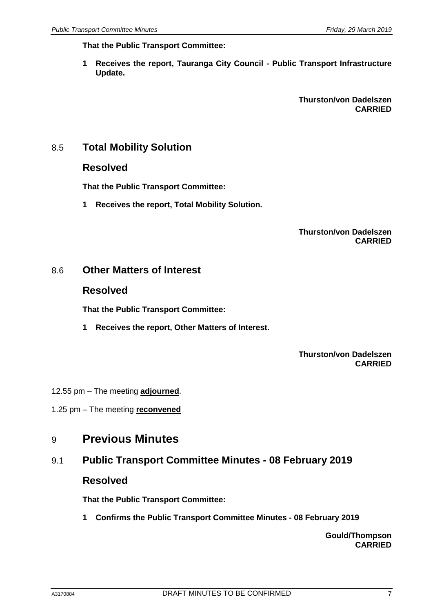**That the Public Transport Committee:**

**1 Receives the report, Tauranga City Council - Public Transport Infrastructure Update.**

> **Thurston/von Dadelszen CARRIED**

## 8.5 **Total Mobility Solution**

#### **Resolved**

**That the Public Transport Committee:**

**1 Receives the report, Total Mobility Solution.**

#### **Thurston/von Dadelszen CARRIED**

## 8.6 **Other Matters of Interest**

#### **Resolved**

**That the Public Transport Committee:**

**1 Receives the report, Other Matters of Interest.**

**Thurston/von Dadelszen CARRIED**

- 12.55 pm The meeting **adjourned**.
- 1.25 pm The meeting **reconvened**

# 9 **Previous Minutes**

# 9.1 **Public Transport Committee Minutes - 08 February 2019**

#### **Resolved**

**That the Public Transport Committee:**

**1 Confirms the Public Transport Committee Minutes - 08 February 2019**

**Gould/Thompson CARRIED**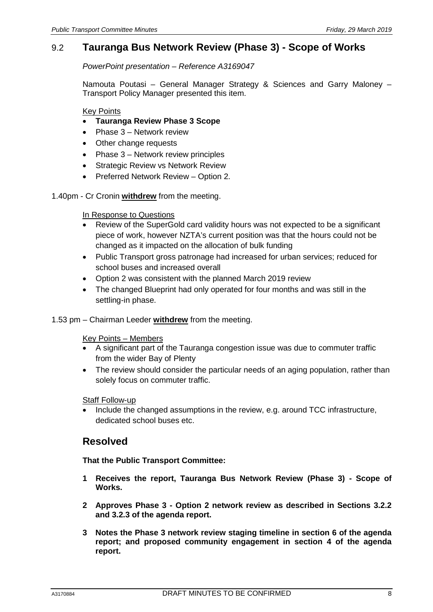# 9.2 **Tauranga Bus Network Review (Phase 3) - Scope of Works**

*PowerPoint presentation – Reference A3169047*

Namouta Poutasi – General Manager Strategy & Sciences and Garry Maloney – Transport Policy Manager presented this item.

Key Points

- **Tauranga Review Phase 3 Scope**
- Phase 3 Network review
- Other change requests
- Phase 3 Network review principles
- Strategic Review vs Network Review
- Preferred Network Review Option 2.

1.40pm - Cr Cronin **withdrew** from the meeting.

#### In Response to Questions

- Review of the SuperGold card validity hours was not expected to be a significant piece of work, however NZTA's current position was that the hours could not be changed as it impacted on the allocation of bulk funding
- Public Transport gross patronage had increased for urban services; reduced for school buses and increased overall
- Option 2 was consistent with the planned March 2019 review
- The changed Blueprint had only operated for four months and was still in the settling-in phase.
- 1.53 pm Chairman Leeder **withdrew** from the meeting.

Key Points – Members

- A significant part of the Tauranga congestion issue was due to commuter traffic from the wider Bay of Plenty
- The review should consider the particular needs of an aging population, rather than solely focus on commuter traffic.

#### Staff Follow-up

• Include the changed assumptions in the review, e.g. around TCC infrastructure, dedicated school buses etc.

## **Resolved**

**That the Public Transport Committee:**

- **1 Receives the report, Tauranga Bus Network Review (Phase 3) - Scope of Works.**
- **2 Approves Phase 3 - Option 2 network review as described in Sections 3.2.2 and 3.2.3 of the agenda report.**
- **3 Notes the Phase 3 network review staging timeline in section 6 of the agenda report; and proposed community engagement in section 4 of the agenda report.**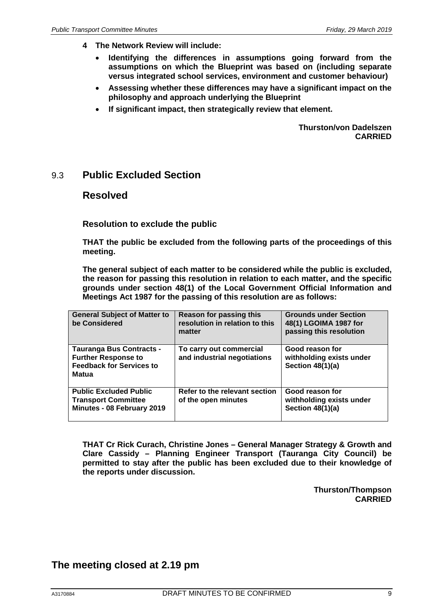- **4 The Network Review will include:**
	- **Identifying the differences in assumptions going forward from the assumptions on which the Blueprint was based on (including separate versus integrated school services, environment and customer behaviour)**
	- **Assessing whether these differences may have a significant impact on the philosophy and approach underlying the Blueprint**
	- **If significant impact, then strategically review that element.**

**Thurston/von Dadelszen CARRIED**

## 9.3 **Public Excluded Section**

#### **Resolved**

**Resolution to exclude the public**

**THAT the public be excluded from the following parts of the proceedings of this meeting.**

**The general subject of each matter to be considered while the public is excluded, the reason for passing this resolution in relation to each matter, and the specific grounds under section 48(1) of the Local Government Official Information and Meetings Act 1987 for the passing of this resolution are as follows:**

| <b>General Subject of Matter to</b><br>be Considered                                                             | Reason for passing this<br>resolution in relation to this<br>matter | <b>Grounds under Section</b><br>48(1) LGOIMA 1987 for<br>passing this resolution |
|------------------------------------------------------------------------------------------------------------------|---------------------------------------------------------------------|----------------------------------------------------------------------------------|
| <b>Tauranga Bus Contracts -</b><br><b>Further Response to</b><br><b>Feedback for Services to</b><br><b>Matua</b> | To carry out commercial<br>and industrial negotiations              | Good reason for<br>withholding exists under<br>Section 48(1)(a)                  |
| <b>Public Excluded Public</b><br><b>Transport Committee</b><br>Minutes - 08 February 2019                        | Refer to the relevant section<br>of the open minutes                | Good reason for<br>withholding exists under<br>Section $48(1)(a)$                |

**THAT Cr Rick Curach, Christine Jones – General Manager Strategy & Growth and Clare Cassidy – Planning Engineer Transport (Tauranga City Council) be permitted to stay after the public has been excluded due to their knowledge of the reports under discussion.**

> **Thurston/Thompson CARRIED**

## **The meeting closed at 2.19 pm**